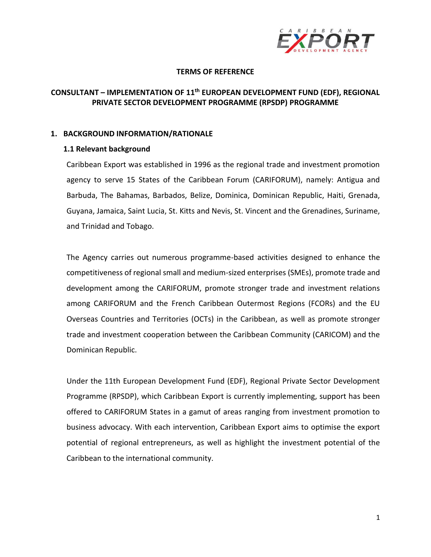

## **TERMS OF REFERENCE**

# **CONSULTANT – IMPLEMENTATION OF 11 th EUROPEAN DEVELOPMENT FUND (EDF), REGIONAL PRIVATE SECTOR DEVELOPMENT PROGRAMME (RPSDP) PROGRAMME**

## **1. BACKGROUND INFORMATION/RATIONALE**

## **1.1 Relevant background**

Caribbean Export was established in 1996 as the regional trade and investment promotion agency to serve 15 States of the Caribbean Forum (CARIFORUM), namely: Antigua and Barbuda, The Bahamas, Barbados, Belize, Dominica, Dominican Republic, Haiti, Grenada, Guyana, Jamaica, Saint Lucia, St. Kitts and Nevis, St. Vincent and the Grenadines, Suriname, and Trinidad and Tobago.

The Agency carries out numerous programme-based activities designed to enhance the competitiveness of regional small and medium-sized enterprises (SMEs), promote trade and development among the CARIFORUM, promote stronger trade and investment relations among CARIFORUM and the French Caribbean Outermost Regions (FCORs) and the EU Overseas Countries and Territories (OCTs) in the Caribbean, as well as promote stronger trade and investment cooperation between the Caribbean Community (CARICOM) and the Dominican Republic.

Under the 11th European Development Fund (EDF), Regional Private Sector Development Programme (RPSDP), which Caribbean Export is currently implementing, support has been offered to CARIFORUM States in a gamut of areas ranging from investment promotion to business advocacy. With each intervention, Caribbean Export aims to optimise the export potential of regional entrepreneurs, as well as highlight the investment potential of the Caribbean to the international community.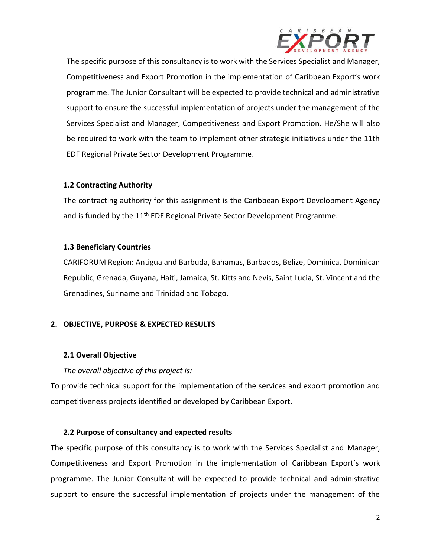

The specific purpose of this consultancy is to work with the Services Specialist and Manager, Competitiveness and Export Promotion in the implementation of Caribbean Export's work programme. The Junior Consultant will be expected to provide technical and administrative support to ensure the successful implementation of projects under the management of the Services Specialist and Manager, Competitiveness and Export Promotion. He/She will also be required to work with the team to implement other strategic initiatives under the 11th EDF Regional Private Sector Development Programme.

## **1.2 Contracting Authority**

The contracting authority for this assignment is the Caribbean Export Development Agency and is funded by the 11<sup>th</sup> EDF Regional Private Sector Development Programme.

## **1.3 Beneficiary Countries**

CARIFORUM Region: Antigua and Barbuda, Bahamas, Barbados, Belize, Dominica, Dominican Republic, Grenada, Guyana, Haiti, Jamaica, St. Kitts and Nevis, Saint Lucia, St. Vincent and the Grenadines, Suriname and Trinidad and Tobago.

## **2. OBJECTIVE, PURPOSE & EXPECTED RESULTS**

## **2.1 Overall Objective**

*The overall objective of this project is:* 

To provide technical support for the implementation of the services and export promotion and competitiveness projects identified or developed by Caribbean Export.

## **2.2 Purpose of consultancy and expected results**

The specific purpose of this consultancy is to work with the Services Specialist and Manager, Competitiveness and Export Promotion in the implementation of Caribbean Export's work programme. The Junior Consultant will be expected to provide technical and administrative support to ensure the successful implementation of projects under the management of the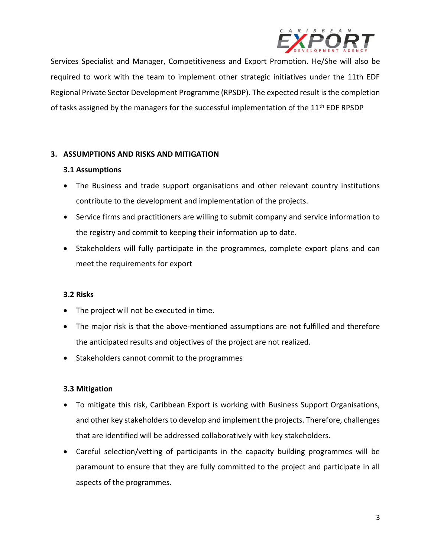

Services Specialist and Manager, Competitiveness and Export Promotion. He/She will also be required to work with the team to implement other strategic initiatives under the 11th EDF Regional Private Sector Development Programme (RPSDP). The expected result is the completion of tasks assigned by the managers for the successful implementation of the 11<sup>th</sup> EDF RPSDP

## **3. ASSUMPTIONS AND RISKS AND MITIGATION**

### **3.1 Assumptions**

- The Business and trade support organisations and other relevant country institutions contribute to the development and implementation of the projects.
- Service firms and practitioners are willing to submit company and service information to the registry and commit to keeping their information up to date.
- Stakeholders will fully participate in the programmes, complete export plans and can meet the requirements for export

### **3.2 Risks**

- The project will not be executed in time.
- The major risk is that the above-mentioned assumptions are not fulfilled and therefore the anticipated results and objectives of the project are not realized.
- Stakeholders cannot commit to the programmes

## **3.3 Mitigation**

- To mitigate this risk, Caribbean Export is working with Business Support Organisations, and other key stakeholders to develop and implement the projects. Therefore, challenges that are identified will be addressed collaboratively with key stakeholders.
- Careful selection/vetting of participants in the capacity building programmes will be paramount to ensure that they are fully committed to the project and participate in all aspects of the programmes.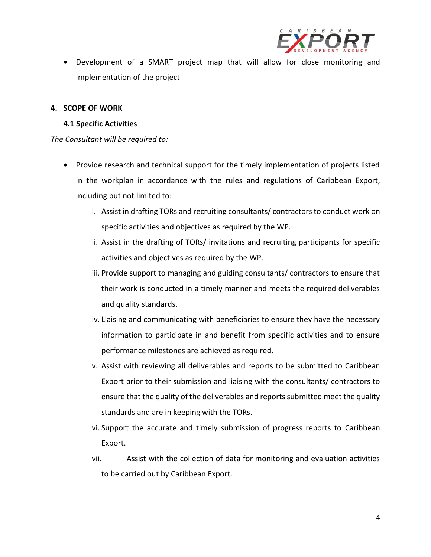

• Development of a SMART project map that will allow for close monitoring and implementation of the project

## **4. SCOPE OF WORK**

### **4.1 Specific Activities**

*The Consultant will be required to:*

- Provide research and technical support for the timely implementation of projects listed in the workplan in accordance with the rules and regulations of Caribbean Export, including but not limited to:
	- i. Assist in drafting TORs and recruiting consultants/ contractors to conduct work on specific activities and objectives as required by the WP.
	- ii. Assist in the drafting of TORs/ invitations and recruiting participants for specific activities and objectives as required by the WP.
	- iii. Provide support to managing and guiding consultants/ contractors to ensure that their work is conducted in a timely manner and meets the required deliverables and quality standards.
	- iv. Liaising and communicating with beneficiaries to ensure they have the necessary information to participate in and benefit from specific activities and to ensure performance milestones are achieved as required.
	- v. Assist with reviewing all deliverables and reports to be submitted to Caribbean Export prior to their submission and liaising with the consultants/ contractors to ensure that the quality of the deliverables and reports submitted meet the quality standards and are in keeping with the TORs.
	- vi. Support the accurate and timely submission of progress reports to Caribbean Export.
	- vii. Assist with the collection of data for monitoring and evaluation activities to be carried out by Caribbean Export.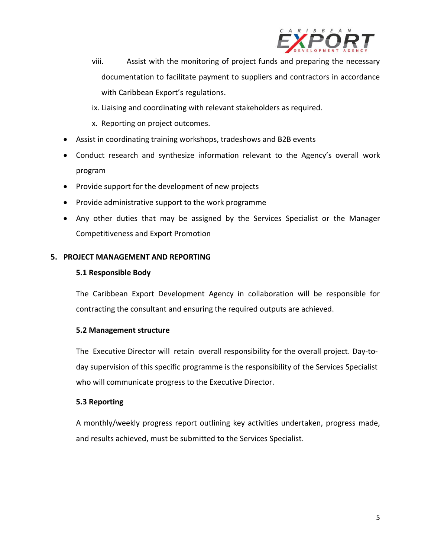

- viii. Assist with the monitoring of project funds and preparing the necessary documentation to facilitate payment to suppliers and contractors in accordance with Caribbean Export's regulations.
- ix. Liaising and coordinating with relevant stakeholders as required.
- x. Reporting on project outcomes.
- Assist in coordinating training workshops, tradeshows and B2B events
- Conduct research and synthesize information relevant to the Agency's overall work program
- Provide support for the development of new projects
- Provide administrative support to the work programme
- Any other duties that may be assigned by the Services Specialist or the Manager Competitiveness and Export Promotion

## **5. PROJECT MANAGEMENT AND REPORTING**

## **5.1 Responsible Body**

The Caribbean Export Development Agency in collaboration will be responsible for contracting the consultant and ensuring the required outputs are achieved.

### **5.2 Management structure**

The Executive Director will retain overall responsibility for the overall project. Day-today supervision of this specific programme is the responsibility of the Services Specialist who will communicate progress to the Executive Director.

### **5.3 Reporting**

A monthly/weekly progress report outlining key activities undertaken, progress made, and results achieved, must be submitted to the Services Specialist.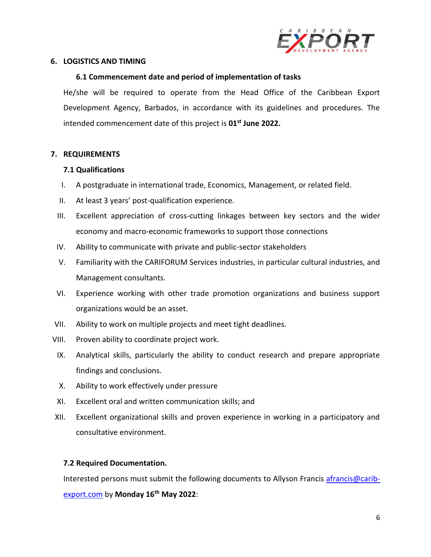

## **6. LOGISTICS AND TIMING**

### **6.1 Commencement date and period of implementation of tasks**

He/she will be required to operate from the Head Office of the Caribbean Export Development Agency, Barbados, in accordance with its guidelines and procedures. The intended commencement date of this project is **01st June 2022.**

### **7. REQUIREMENTS**

### **7.1 Qualifications**

- I. A postgraduate in international trade, Economics, Management, or related field.
- II. At least 3 years' post-qualification experience.
- III. Excellent appreciation of cross-cutting linkages between key sectors and the wider economy and macro-economic frameworks to support those connections
- IV. Ability to communicate with private and public-sector stakeholders
- V. Familiarity with the CARIFORUM Services industries, in particular cultural industries, and Management consultants.
- VI. Experience working with other trade promotion organizations and business support organizations would be an asset.
- VII. Ability to work on multiple projects and meet tight deadlines.
- VIII. Proven ability to coordinate project work.
- IX. Analytical skills, particularly the ability to conduct research and prepare appropriate findings and conclusions.
- X. Ability to work effectively under pressure
- XI. Excellent oral and written communication skills; and
- XII. Excellent organizational skills and proven experience in working in a participatory and consultative environment.

### **7.2 Required Documentation.**

Interested persons must submit the following documents to Allyson Francis [afrancis@carib](mailto:afrancis@carib-export.com)[export.com](mailto:afrancis@carib-export.com) by **Monday 16th May 2022**: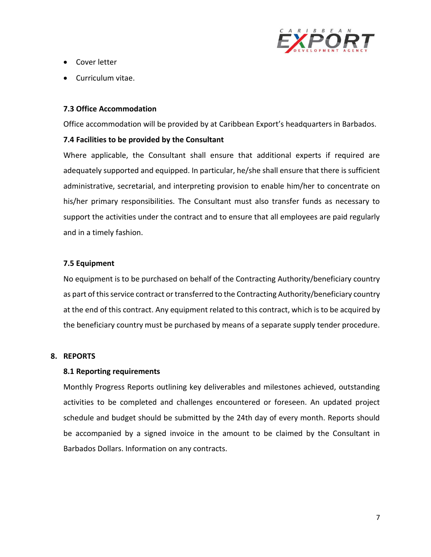

- Cover letter
- Curriculum vitae.

## **7.3 Office Accommodation**

Office accommodation will be provided by at Caribbean Export's headquarters in Barbados.

## **7.4 Facilities to be provided by the Consultant**

Where applicable, the Consultant shall ensure that additional experts if required are adequately supported and equipped. In particular, he/she shall ensure that there is sufficient administrative, secretarial, and interpreting provision to enable him/her to concentrate on his/her primary responsibilities. The Consultant must also transfer funds as necessary to support the activities under the contract and to ensure that all employees are paid regularly and in a timely fashion.

## **7.5 Equipment**

No equipment is to be purchased on behalf of the Contracting Authority/beneficiary country as part of this service contract or transferred to the Contracting Authority/beneficiary country at the end of this contract. Any equipment related to this contract, which is to be acquired by the beneficiary country must be purchased by means of a separate supply tender procedure.

### **8. REPORTS**

### **8.1 Reporting requirements**

Monthly Progress Reports outlining key deliverables and milestones achieved, outstanding activities to be completed and challenges encountered or foreseen. An updated project schedule and budget should be submitted by the 24th day of every month. Reports should be accompanied by a signed invoice in the amount to be claimed by the Consultant in Barbados Dollars. Information on any contracts.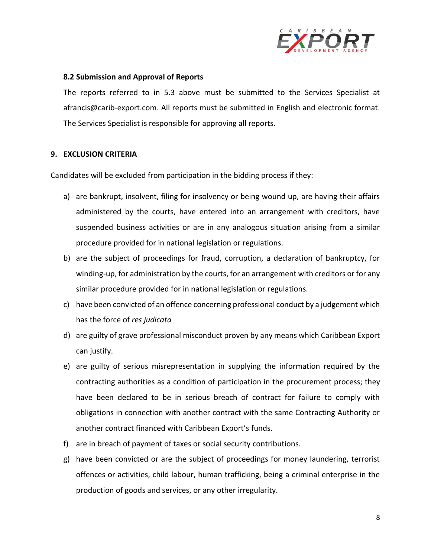

### **8.2 Submission and Approval of Reports**

The reports referred to in 5.3 above must be submitted to the Services Specialist at afrancis@carib-export.com. All reports must be submitted in English and electronic format. The Services Specialist is responsible for approving all reports.

### **9. EXCLUSION CRITERIA**

Candidates will be excluded from participation in the bidding process if they:

- a) are bankrupt, insolvent, filing for insolvency or being wound up, are having their affairs administered by the courts, have entered into an arrangement with creditors, have suspended business activities or are in any analogous situation arising from a similar procedure provided for in national legislation or regulations.
- b) are the subject of proceedings for fraud, corruption, a declaration of bankruptcy, for winding-up, for administration by the courts, for an arrangement with creditors or for any similar procedure provided for in national legislation or regulations.
- c) have been convicted of an offence concerning professional conduct by a judgement which has the force of *res judicata*
- d) are guilty of grave professional misconduct proven by any means which Caribbean Export can justify.
- e) are guilty of serious misrepresentation in supplying the information required by the contracting authorities as a condition of participation in the procurement process; they have been declared to be in serious breach of contract for failure to comply with obligations in connection with another contract with the same Contracting Authority or another contract financed with Caribbean Export's funds.
- f) are in breach of payment of taxes or social security contributions.
- g) have been convicted or are the subject of proceedings for money laundering, terrorist offences or activities, child labour, human trafficking, being a criminal enterprise in the production of goods and services, or any other irregularity.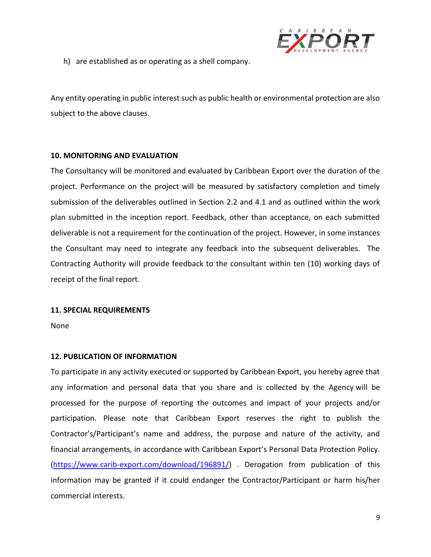

h) are established as or operating as a shell company.

Any entity operating in public interest such as public health or environmental protection are also subject to the above clauses.

### **10. MONITORING AND EVALUATION**

The Consultancy will be monitored and evaluated by Caribbean Export over the duration of the project. Performance on the project will be measured by satisfactory completion and timely submission of the deliverables outlined in Section 2.2 and 4.1 and as outlined within the work plan submitted in the inception report. Feedback, other than acceptance, on each submitted deliverable is not a requirement for the continuation of the project. However, in some instances the Consultant may need to integrate any feedback into the subsequent deliverables. The Contracting Authority will provide feedback to the consultant within ten (10) working days of receipt of the final report.

#### **11. SPECIAL REQUIREMENTS**

None

### **12. PUBLICATION OF INFORMATION**

To participate in any activity executed or supported by Caribbean Export, you hereby agree that any information and personal data that you share and is collected by the Agency will be processed for the purpose of reporting the outcomes and impact of your projects and/or participation. Please note that Caribbean Export reserves the right to publish the Contractor's/Participant's name and address, the purpose and nature of the activity, and financial arrangements, in accordance with Caribbean Export's Personal Data Protection Policy. [\(https://www.carib-export.com/download/196891/\)](https://www.carib-export.com/download/196891/) . Derogation from publication of this information may be granted if it could endanger the Contractor/Participant or harm his/her commercial interests.